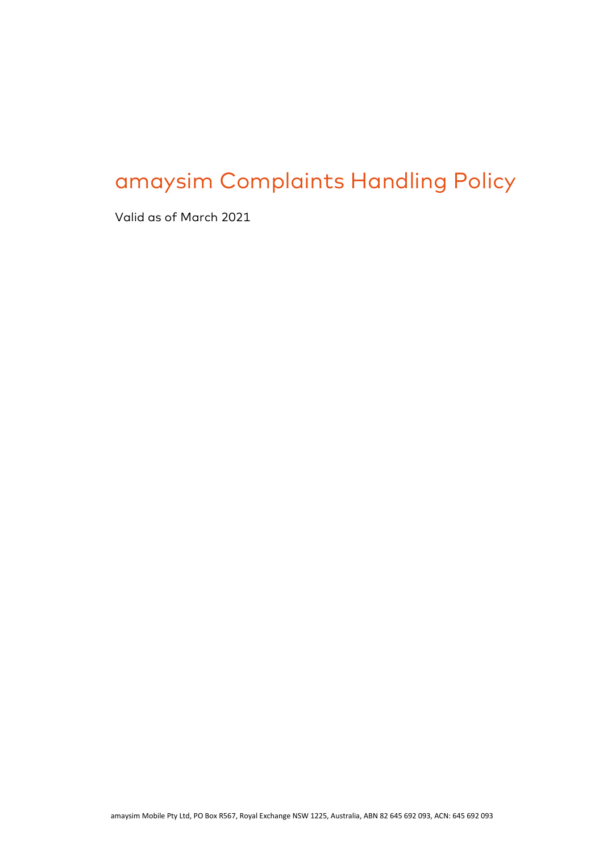# amaysim Complaints Handling Policy

Valid as of March 2021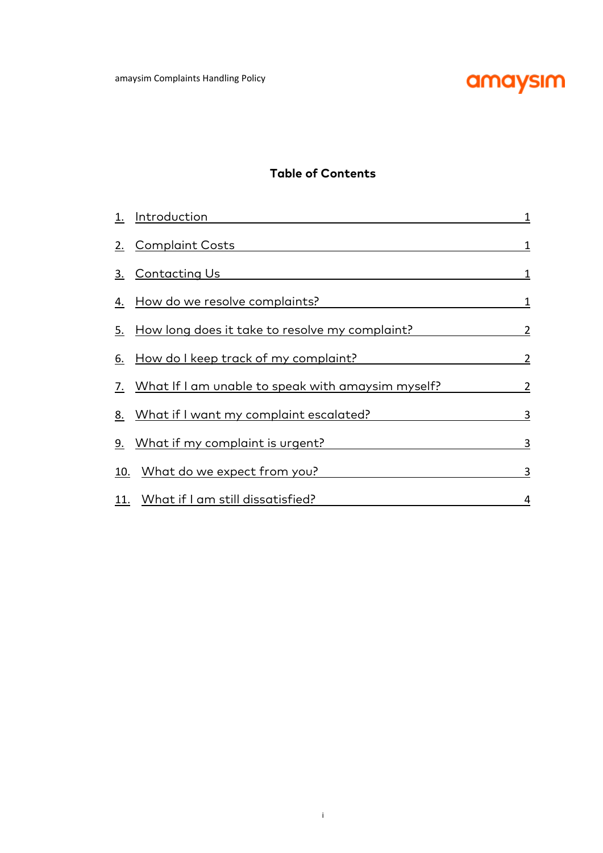

## **Table of Contents**

| 1.        | <u>Introduction</u>                                   | 1              |
|-----------|-------------------------------------------------------|----------------|
| 2.        | <u>Complaint Costs</u>                                | 1              |
| 3.        | <u>Contacting Us</u>                                  | 1              |
| 4.        | How do we resolve complaints?                         | 1              |
| 5.        | <u>How long does it take to resolve my complaint?</u> | $\overline{2}$ |
|           | 6. How do I keep track of my complaint?               | $\overline{2}$ |
|           | 7. What If I am unable to speak with amaysim myself?  | 2              |
|           | 8. What if I want my complaint escalated?             | 3              |
| <u>9.</u> | What if my complaint is urgent?                       | 3              |
|           | 10. What do we expect from you?                       | 3              |
|           | 11. What if I am still dissatisfied?                  | 4              |

i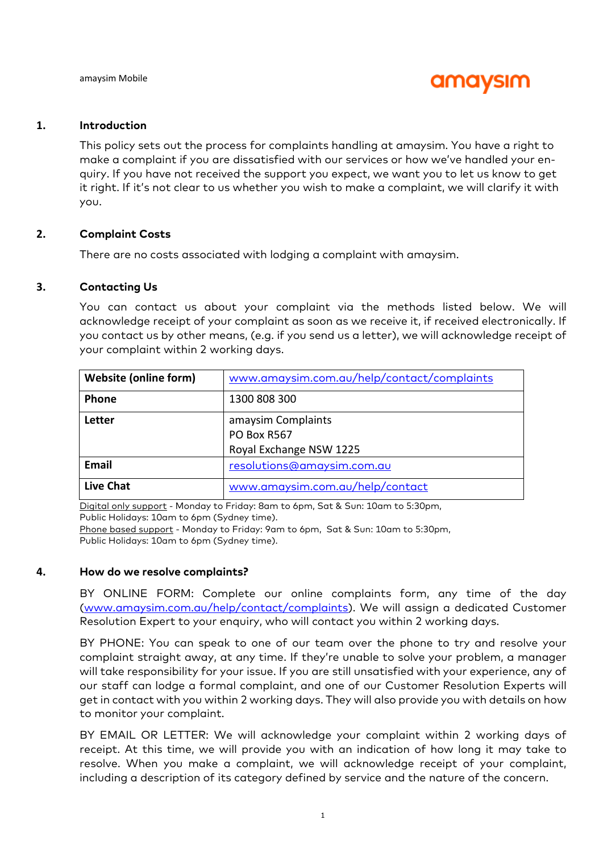

#### **1. Introduction**

This policy sets out the process for complaints handling at amaysim. You have a right to make a complaint if you are dissatisfied with our services or how we've handled your enquiry. If you have not received the support you expect, we want you to let us know to get it right. If it's not clear to us whether you wish to make a complaint, we will clarify it with you.

#### **2. Complaint Costs**

There are no costs associated with lodging a complaint with amaysim.

#### **3. Contacting Us**

You can contact us about your complaint via the methods listed below. We will acknowledge receipt of your complaint as soon as we receive it, if received electronically. If you contact us by other means, (e.g. if you send us a letter), we will acknowledge receipt of your complaint within 2 working days.

| <b>Website (online form)</b> | www.amaysim.com.au/help/contact/complaints                          |
|------------------------------|---------------------------------------------------------------------|
| <b>Phone</b>                 | 1300 808 300                                                        |
| Letter                       | amaysim Complaints<br><b>PO Box R567</b><br>Royal Exchange NSW 1225 |
| Email                        | resolutions@amaysim.com.au                                          |
| <b>Live Chat</b>             | www.amaysim.com.au/help/contact                                     |

Digital only support - Monday to Friday: 8am to 6pm, Sat & Sun: 10am to 5:30pm, Public Holidays: 10am to 6pm (Sydney time). Phone based support - Monday to Friday: 9am to 6pm, Sat & Sun: 10am to 5:30pm,

Public Holidays: 10am to 6pm (Sydney time).

#### **4. How do we resolve complaints?**

BY ONLINE FORM: Complete our online complaints form, any time of the day (www.amaysim.com.au/help/contact/complaints). We will assign a dedicated Customer Resolution Expert to your enquiry, who will contact you within 2 working days.

BY PHONE: You can speak to one of our team over the phone to try and resolve your complaint straight away, at any time. If they're unable to solve your problem, a manager will take responsibility for your issue. If you are still unsatisfied with your experience, any of our staff can lodge a formal complaint, and one of our Customer Resolution Experts will get in contact with you within 2 working days. They will also provide you with details on how to monitor your complaint.

BY EMAIL OR LETTER: We will acknowledge your complaint within 2 working days of receipt. At this time, we will provide you with an indication of how long it may take to resolve. When you make a complaint, we will acknowledge receipt of your complaint, including a description of its category defined by service and the nature of the concern.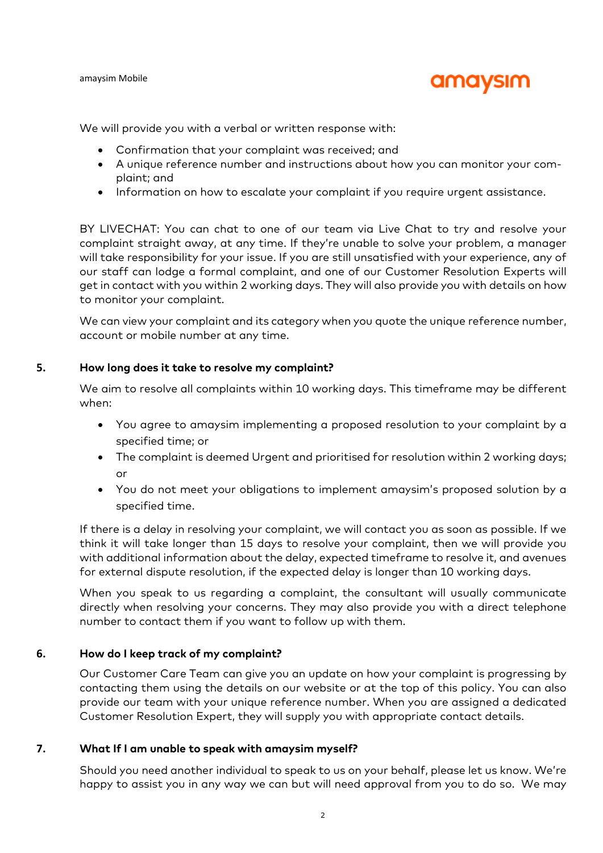#### amaysim Mobile

## amaysim

We will provide you with a verbal or written response with:

- Confirmation that your complaint was received; and
- A unique reference number and instructions about how you can monitor your complaint; and
- Information on how to escalate your complaint if you require urgent assistance.

BY LIVECHAT: You can chat to one of our team via Live Chat to try and resolve your complaint straight away, at any time. If they're unable to solve your problem, a manager will take responsibility for your issue. If you are still unsatisfied with your experience, any of our staff can lodge a formal complaint, and one of our Customer Resolution Experts will get in contact with you within 2 working days. They will also provide you with details on how to monitor your complaint.

We can view your complaint and its category when you quote the unique reference number, account or mobile number at any time.

#### **5. How long does it take to resolve my complaint?**

We aim to resolve all complaints within 10 working days. This timeframe may be different when:

- You agree to amaysim implementing a proposed resolution to your complaint by a specified time; or
- The complaint is deemed Urgent and prioritised for resolution within 2 working days; or
- You do not meet your obligations to implement amaysim's proposed solution by a specified time.

If there is a delay in resolving your complaint, we will contact you as soon as possible. If we think it will take longer than 15 days to resolve your complaint, then we will provide you with additional information about the delay, expected timeframe to resolve it, and avenues for external dispute resolution, if the expected delay is longer than 10 working days.

When you speak to us regarding a complaint, the consultant will usually communicate directly when resolving your concerns. They may also provide you with a direct telephone number to contact them if you want to follow up with them.

### **6. How do I keep track of my complaint?**

Our Customer Care Team can give you an update on how your complaint is progressing by contacting them using the details on our website or at the top of this policy. You can also provide our team with your unique reference number. When you are assigned a dedicated Customer Resolution Expert, they will supply you with appropriate contact details.

### **7. What If I am unable to speak with amaysim myself?**

Should you need another individual to speak to us on your behalf, please let us know. We're happy to assist you in any way we can but will need approval from you to do so. We may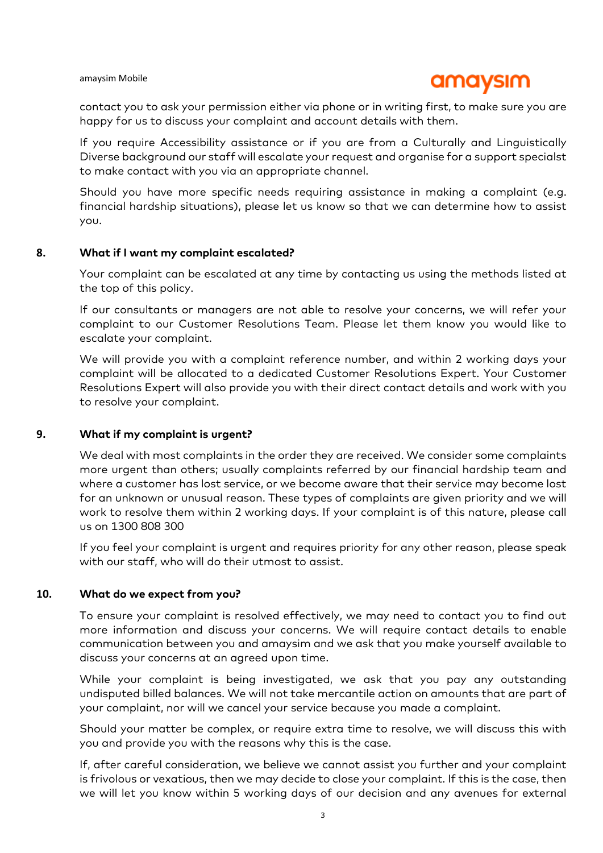#### amaysim Mobile

## amaysım

contact you to ask your permission either via phone or in writing first, to make sure you are happy for us to discuss your complaint and account details with them.

If you require Accessibility assistance or if you are from a Culturally and Linguistically Diverse background our staff will escalate your request and organise for a support specialst to make contact with you via an appropriate channel.

Should you have more specific needs requiring assistance in making a complaint (e.g. financial hardship situations), please let us know so that we can determine how to assist you.

#### **8. What if I want my complaint escalated?**

Your complaint can be escalated at any time by contacting us using the methods listed at the top of this policy.

If our consultants or managers are not able to resolve your concerns, we will refer your complaint to our Customer Resolutions Team. Please let them know you would like to escalate your complaint.

We will provide you with a complaint reference number, and within 2 working days your complaint will be allocated to a dedicated Customer Resolutions Expert. Your Customer Resolutions Expert will also provide you with their direct contact details and work with you to resolve your complaint.

#### **9. What if my complaint is urgent?**

We deal with most complaints in the order they are received. We consider some complaints more urgent than others; usually complaints referred by our financial hardship team and where a customer has lost service, or we become aware that their service may become lost for an unknown or unusual reason. These types of complaints are given priority and we will work to resolve them within 2 working days. If your complaint is of this nature, please call us on 1300 808 300

If you feel your complaint is urgent and requires priority for any other reason, please speak with our staff, who will do their utmost to assist.

#### **10. What do we expect from you?**

To ensure your complaint is resolved effectively, we may need to contact you to find out more information and discuss your concerns. We will require contact details to enable communication between you and amaysim and we ask that you make yourself available to discuss your concerns at an agreed upon time.

While your complaint is being investigated, we ask that you pay any outstanding undisputed billed balances. We will not take mercantile action on amounts that are part of your complaint, nor will we cancel your service because you made a complaint.

Should your matter be complex, or require extra time to resolve, we will discuss this with you and provide you with the reasons why this is the case.

If, after careful consideration, we believe we cannot assist you further and your complaint is frivolous or vexatious, then we may decide to close your complaint. If this is the case, then we will let you know within 5 working days of our decision and any avenues for external